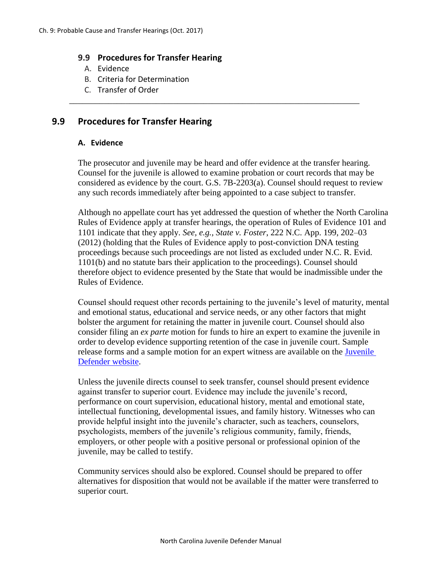## **9.9 Procedures for Transfer Hearing**

- A. Evidence
- B. Criteria for Determination
- C. Transfer of Order

# **9.9 Procedures for Transfer Hearing**

## **A. Evidence**

The prosecutor and juvenile may be heard and offer evidence at the transfer hearing. Counsel for the juvenile is allowed to examine probation or court records that may be considered as evidence by the court. G.S. 7B-2203(a). Counsel should request to review any such records immediately after being appointed to a case subject to transfer.

\_\_\_\_\_\_\_\_\_\_\_\_\_\_\_\_\_\_\_\_\_\_\_\_\_\_\_\_\_\_\_\_\_\_\_\_\_\_\_\_\_\_\_\_\_\_\_\_\_\_\_\_\_\_\_\_\_\_\_\_\_\_\_\_\_\_\_

Although no appellate court has yet addressed the question of whether the North Carolina Rules of Evidence apply at transfer hearings, the operation of Rules of Evidence 101 and 1101 indicate that they apply. *See, e.g., State v. Foster*, 222 N.C. App. 199, 202–03 (2012) (holding that the Rules of Evidence apply to post-conviction DNA testing proceedings because such proceedings are not listed as excluded under N.C. R. Evid. 1101(b) and no statute bars their application to the proceedings). Counsel should therefore object to evidence presented by the State that would be inadmissible under the Rules of Evidence.

Counsel should request other records pertaining to the juvenile's level of maturity, mental and emotional status, educational and service needs, or any other factors that might bolster the argument for retaining the matter in juvenile court. Counsel should also consider filing an *ex parte* motion for funds to hire an expert to examine the juvenile in order to develop evidence supporting retention of the case in juvenile court. Sample release forms and a sample motion for an expert witness are available on the **Juvenile** [Defender website.](https://ncjuveniledefender.wordpress.com/information-for-defenders/materials-for-defenders/juvenile-defender-trial-motions-and-forms-index/)

Unless the juvenile directs counsel to seek transfer, counsel should present evidence against transfer to superior court. Evidence may include the juvenile's record, performance on court supervision, educational history, mental and emotional state, intellectual functioning, developmental issues, and family history. Witnesses who can provide helpful insight into the juvenile's character, such as teachers, counselors, psychologists, members of the juvenile's religious community, family, friends, employers, or other people with a positive personal or professional opinion of the juvenile, may be called to testify.

Community services should also be explored. Counsel should be prepared to offer alternatives for disposition that would not be available if the matter were transferred to superior court.